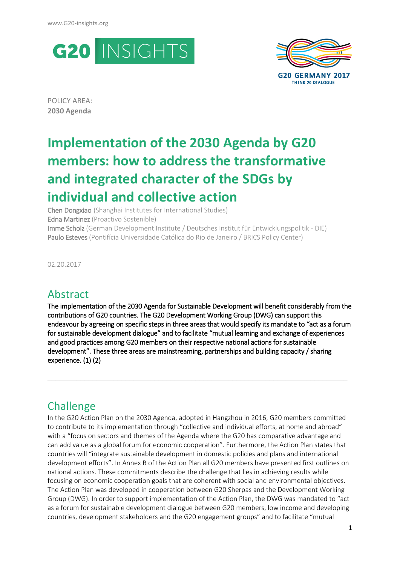



POLICY AREA: **2030 Agenda**

# **Implementation of the 2030 Agenda by G20 members: how to address the transformative and integrated character of the SDGs by individual and collective action**

Chen Dongxiao (Shanghai Institutes for International Studies) Edna Martinez (Proactivo Sostenible) Imme Scholz (German Development Institute / Deutsches Institut für Entwicklungspolitik - DIE) Paulo Esteves (Pontifícia Universidade Católica do Rio de Janeiro / BRICS Policy Center)

02.20.2017

### Abstract

The implementation of the 2030 Agenda for Sustainable Development will benefit considerably from the contributions of G20 countries. The G20 Development Working Group (DWG) can support this endeavour by agreeing on specific steps in three areas that would specify its mandate to "act as a forum for sustainable development dialogue" and to facilitate "mutual learning and exchange of experiences and good practices among G20 members on their respective national actions for sustainable development". These three areas are mainstreaming, partnerships and building capacity / sharing experience. (1) (2)

**\_\_\_\_\_\_\_\_\_\_\_\_\_\_\_\_\_\_\_\_\_\_\_\_\_\_\_\_\_\_\_\_\_\_\_\_\_\_\_\_\_\_\_\_\_\_\_\_\_\_\_\_\_\_\_\_\_\_\_\_\_\_\_\_\_\_\_\_\_\_\_\_\_**

### **Challenge**

In the G20 Action Plan on the 2030 Agenda, adopted in Hangzhou in 2016, G20 members committed to contribute to its implementation through "collective and individual efforts, at home and abroad" with a "focus on sectors and themes of the Agenda where the G20 has comparative advantage and can add value as a global forum for economic cooperation". Furthermore, the Action Plan states that countries will "integrate sustainable development in domestic policies and plans and international development efforts". In Annex B of the Action Plan all G20 members have presented first outlines on national actions. These commitments describe the challenge that lies in achieving results while focusing on economic cooperation goals that are coherent with social and environmental objectives. The Action Plan was developed in cooperation between G20 Sherpas and the Development Working Group (DWG). In order to support implementation of the Action Plan, the DWG was mandated to "act as a forum for sustainable development dialogue between G20 members, low income and developing countries, development stakeholders and the G20 engagement groups" and to facilitate "mutual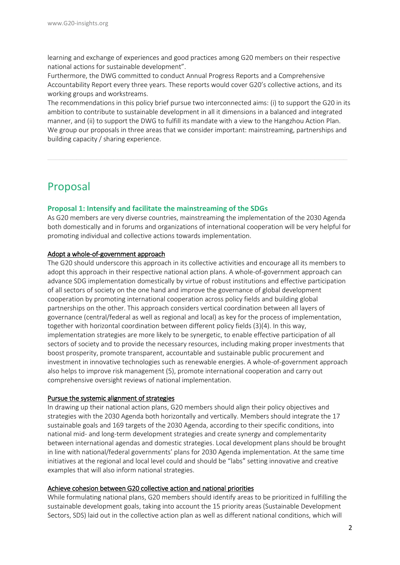learning and exchange of experiences and good practices among G20 members on their respective national actions for sustainable development".

Furthermore, the DWG committed to conduct Annual Progress Reports and a Comprehensive Accountability Report every three years. These reports would cover G20's collective actions, and its working groups and workstreams.

The recommendations in this policy brief pursue two interconnected aims: (i) to support the G20 in its ambition to contribute to sustainable development in all it dimensions in a balanced and integrated manner, and (ii) to support the DWG to fulfill its mandate with a view to the Hangzhou Action Plan. We group our proposals in three areas that we consider important: mainstreaming, partnerships and building capacity / sharing experience.

**\_\_\_\_\_\_\_\_\_\_\_\_\_\_\_\_\_\_\_\_\_\_\_\_\_\_\_\_\_\_\_\_\_\_\_\_\_\_\_\_\_\_\_\_\_\_\_\_\_\_\_\_\_\_\_\_\_\_\_\_\_\_\_\_\_\_\_\_\_\_\_\_\_**

### Proposal

#### **Proposal 1: Intensify and facilitate the mainstreaming of the SDGs**

As G20 members are very diverse countries, mainstreaming the implementation of the 2030 Agenda both domestically and in forums and organizations of international cooperation will be very helpful for promoting individual and collective actions towards implementation.

#### Adopt a whole-of-government approach

The G20 should underscore this approach in its collective activities and encourage all its members to adopt this approach in their respective national action plans. A whole-of-government approach can advance SDG implementation domestically by virtue of robust institutions and effective participation of all sectors of society on the one hand and improve the governance of global development cooperation by promoting international cooperation across policy fields and building global partnerships on the other. This approach considers vertical coordination between all layers of governance (central/federal as well as regional and local) as key for the process of implementation, together with horizontal coordination between different policy fields (3)(4). In this way, implementation strategies are more likely to be synergetic, to enable effective participation of all sectors of society and to provide the necessary resources, including making proper investments that boost prosperity, promote transparent, accountable and sustainable public procurement and investment in innovative technologies such as renewable energies. A whole-of-government approach also helps to improve risk management (5), promote international cooperation and carry out comprehensive oversight reviews of national implementation.

#### Pursue the systemic alignment of strategies

In drawing up their national action plans, G20 members should align their policy objectives and strategies with the 2030 Agenda both horizontally and vertically. Members should integrate the 17 sustainable goals and 169 targets of the 2030 Agenda, according to their specific conditions, into national mid- and long-term development strategies and create synergy and complementarity between international agendas and domestic strategies. Local development plans should be brought in line with national/federal governments' plans for 2030 Agenda implementation. At the same time initiatives at the regional and local level could and should be "labs" setting innovative and creative examples that will also inform national strategies.

#### Achieve cohesion between G20 collective action and national priorities

While formulating national plans, G20 members should identify areas to be prioritized in fulfilling the sustainable development goals, taking into account the 15 priority areas (Sustainable Development Sectors, SDS) laid out in the collective action plan as well as different national conditions, which will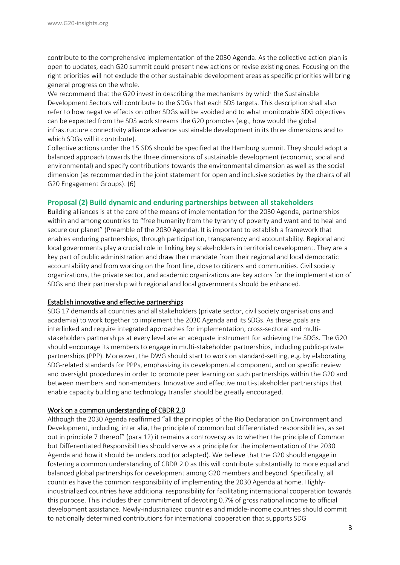contribute to the comprehensive implementation of the 2030 Agenda. As the collective action plan is open to updates, each G20 summit could present new actions or revise existing ones. Focusing on the right priorities will not exclude the other sustainable development areas as specific priorities will bring general progress on the whole.

We recommend that the G20 invest in describing the mechanisms by which the Sustainable Development Sectors will contribute to the SDGs that each SDS targets. This description shall also refer to how negative effects on other SDGs will be avoided and to what monitorable SDG objectives can be expected from the SDS work streams the G20 promotes (e.g., how would the global infrastructure connectivity alliance advance sustainable development in its three dimensions and to which SDGs will it contribute).

Collective actions under the 15 SDS should be specified at the Hamburg summit. They should adopt a balanced approach towards the three dimensions of sustainable development (economic, social and environmental) and specify contributions towards the environmental dimension as well as the social dimension (as recommended in the joint statement for open and inclusive societies by the chairs of all G20 Engagement Groups). (6)

#### **Proposal (2) Build dynamic and enduring partnerships between all stakeholders**

Building alliances is at the core of the means of implementation for the 2030 Agenda, partnerships within and among countries to "free humanity from the tyranny of poverty and want and to heal and secure our planet" (Preamble of the 2030 Agenda). It is important to establish a framework that enables enduring partnerships, through participation, transparency and accountability. Regional and local governments play a crucial role in linking key stakeholders in territorial development. They are a key part of public administration and draw their mandate from their regional and local democratic accountability and from working on the front line, close to citizens and communities. Civil society organizations, the private sector, and academic organizations are key actors for the implementation of SDGs and their partnership with regional and local governments should be enhanced.

#### Establish innovative and effective partnerships

SDG 17 demands all countries and all stakeholders (private sector, civil society organisations and academia) to work together to implement the 2030 Agenda and its SDGs. As these goals are interlinked and require integrated approaches for implementation, cross-sectoral and multistakeholders partnerships at every level are an adequate instrument for achieving the SDGs. The G20 should encourage its members to engage in multi-stakeholder partnerships, including public-private partnerships (PPP). Moreover, the DWG should start to work on standard-setting, e.g. by elaborating SDG-related standards for PPPs, emphasizing its developmental component, and on specific review and oversight procedures in order to promote peer learning on such partnerships within the G20 and between members and non-members. Innovative and effective multi-stakeholder partnerships that enable capacity building and technology transfer should be greatly encouraged.

#### Work on a common understanding of CBDR 2.0

Although the 2030 Agenda reaffirmed "all the principles of the Rio Declaration on Environment and Development, including, inter alia, the principle of common but differentiated responsibilities, as set out in principle 7 thereof" (para 12) it remains a controversy as to whether the principle of Common but Differentiated Responsibilities should serve as a principle for the implementation of the 2030 Agenda and how it should be understood (or adapted). We believe that the G20 should engage in fostering a common understanding of CBDR 2.0 as this will contribute substantially to more equal and balanced global partnerships for development among G20 members and beyond. Specifically, all countries have the common responsibility of implementing the 2030 Agenda at home. Highlyindustrialized countries have additional responsibility for facilitating international cooperation towards this purpose. This includes their commitment of devoting 0.7% of gross national income to official development assistance. Newly-industrialized countries and middle-income countries should commit to nationally determined contributions for international cooperation that supports SDG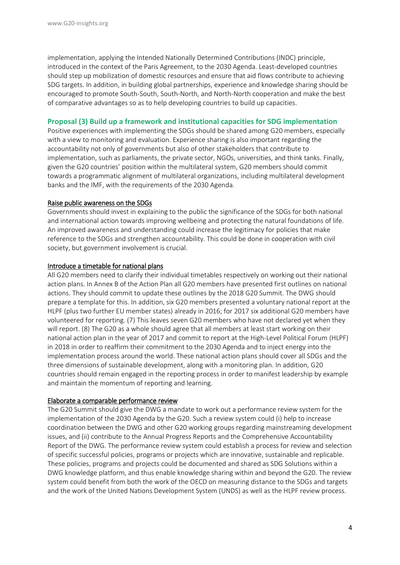implementation, applying the Intended Nationally Determined Contributions (INDC) principle, introduced in the context of the Paris Agreement, to the 2030 Agenda. Least-developed countries should step up mobilization of domestic resources and ensure that aid flows contribute to achieving SDG targets. In addition, in building global partnerships, experience and knowledge sharing should be encouraged to promote South-South, South-North, and North-North cooperation and make the best of comparative advantages so as to help developing countries to build up capacities.

#### **Proposal (3) Build up a framework and institutional capacities for SDG implementation**

Positive experiences with implementing the SDGs should be shared among G20 members, especially with a view to monitoring and evaluation. Experience sharing is also important regarding the accountability not only of governments but also of other stakeholders that contribute to implementation, such as parliaments, the private sector, NGOs, universities, and think tanks. Finally, given the G20 countries' position within the multilateral system, G20 members should commit towards a programmatic alignment of multilateral organizations, including multilateral development banks and the IMF, with the requirements of the 2030 Agenda.

#### Raise public awareness on the SDGs

Governments should invest in explaining to the public the significance of the SDGs for both national and international action towards improving wellbeing and protecting the natural foundations of life. An improved awareness and understanding could increase the legitimacy for policies that make reference to the SDGs and strengthen accountability. This could be done in cooperation with civil society, but government involvement is crucial.

#### Introduce a timetable for national plans

All G20 members need to clarify their individual timetables respectively on working out their national action plans. In Annex B of the Action Plan all G20 members have presented first outlines on national actions. They should commit to update these outlines by the 2018 G20 Summit. The DWG should prepare a template for this. In addition, six G20 members presented a voluntary national report at the HLPF (plus two further EU member states) already in 2016; for 2017 six additional G20 members have volunteered for reporting. (7) This leaves seven G20 members who have not declared yet when they will report. (8) The G20 as a whole should agree that all members at least start working on their national action plan in the year of 2017 and commit to report at the High-Level Political Forum (HLPF) in 2018 in order to reaffirm their commitment to the 2030 Agenda and to inject energy into the implementation process around the world. These national action plans should cover all SDGs and the three dimensions of sustainable development, along with a monitoring plan. In addition, G20 countries should remain engaged in the reporting process in order to manifest leadership by example and maintain the momentum of reporting and learning.

#### Elaborate a comparable performance review

The G20 Summit should give the DWG a mandate to work out a performance review system for the implementation of the 2030 Agenda by the G20. Such a review system could (i) help to increase coordination between the DWG and other G20 working groups regarding mainstreaming development issues, and (ii) contribute to the Annual Progress Reports and the Comprehensive Accountability Report of the DWG. The performance review system could establish a process for review and selection of specific successful policies, programs or projects which are innovative, sustainable and replicable. These policies, programs and projects could be documented and shared as SDG Solutions within a DWG knowledge platform, and thus enable knowledge sharing within and beyond the G20. The review system could benefit from both the work of the OECD on measuring distance to the SDGs and targets and the work of the United Nations Development System (UNDS) as well as the HLPF review process.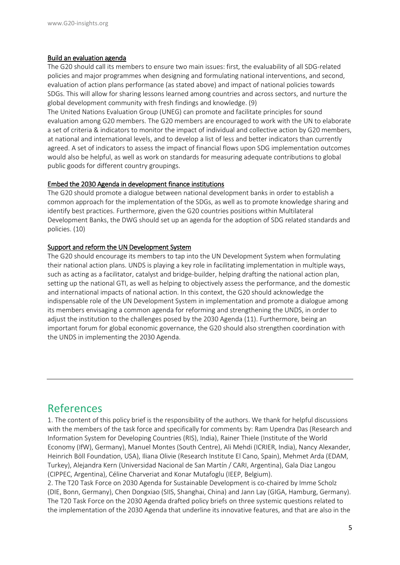#### Build an evaluation agenda

The G20 should call its members to ensure two main issues: first, the evaluability of all SDG-related policies and major programmes when designing and formulating national interventions, and second, evaluation of action plans performance (as stated above) and impact of national policies towards SDGs. This will allow for sharing lessons learned among countries and across sectors, and nurture the global development community with fresh findings and knowledge. (9)

The United Nations Evaluation Group (UNEG) can promote and facilitate principles for sound evaluation among G20 members. The G20 members are encouraged to work with the UN to elaborate a set of criteria & indicators to monitor the impact of individual and collective action by G20 members, at national and international levels, and to develop a list of less and better indicators than currently agreed. A set of indicators to assess the impact of financial flows upon SDG implementation outcomes would also be helpful, as well as work on standards for measuring adequate contributions to global public goods for different country groupings.

#### Embed the 2030 Agenda in development finance institutions

The G20 should promote a dialogue between national development banks in order to establish a common approach for the implementation of the SDGs, as well as to promote knowledge sharing and identify best practices. Furthermore, given the G20 countries positions within Multilateral Development Banks, the DWG should set up an agenda for the adoption of SDG related standards and policies. (10)

#### Support and reform the UN Development System

The G20 should encourage its members to tap into the UN Development System when formulating their national action plans. UNDS is playing a key role in facilitating implementation in multiple ways, such as acting as a facilitator, catalyst and bridge-builder, helping drafting the national action plan, setting up the national GTI, as well as helping to objectively assess the performance, and the domestic and international impacts of national action. In this context, the G20 should acknowledge the indispensable role of the UN Development System in implementation and promote a dialogue among its members envisaging a common agenda for reforming and strengthening the UNDS, in order to adjust the institution to the challenges posed by the 2030 Agenda (11). Furthermore, being an important forum for global economic governance, the G20 should also strengthen coordination with the UNDS in implementing the 2030 Agenda.

### References

1. The content of this policy brief is the responsibility of the authors. We thank for helpful discussions with the members of the task force and specifically for comments by: Ram Upendra Das (Research and Information System for Developing Countries (RIS), India), Rainer Thiele (Institute of the World Economy (IfW), Germany), Manuel Montes (South Centre), Ali Mehdi (ICRIER, India), Nancy Alexander, Heinrich Böll Foundation, USA), Iliana Olivie (Research Institute El Cano, Spain), Mehmet Arda (EDAM, Turkey), Alejandra Kern (Universidad Nacional de San Martín / CARI, Argentina), Gala Diaz Langou (CIPPEC, Argentina), Céline Charveriat and Konar Mutafoglu (IEEP, Belgium).

2. The T20 Task Force on 2030 Agenda for Sustainable Development is co-chaired by Imme Scholz (DIE, Bonn, Germany), Chen Dongxiao (SIIS, Shanghai, China) and Jann Lay (GIGA, Hamburg, Germany). The T20 Task Force on the 2030 Agenda drafted policy briefs on three systemic questions related to the implementation of the 2030 Agenda that underline its innovative features, and that are also in the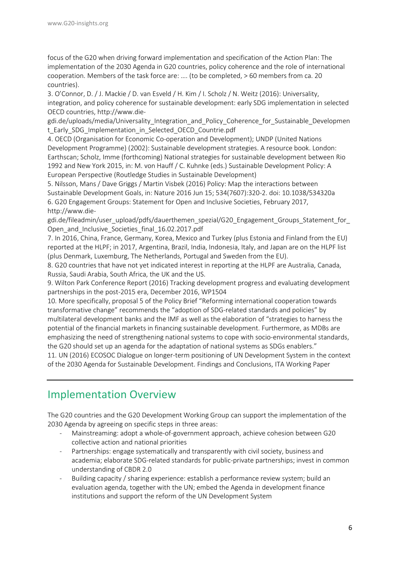focus of the G20 when driving forward implementation and specification of the Action Plan: The implementation of the 2030 Agenda in G20 countries, policy coherence and the role of international cooperation. Members of the task force are: …. (to be completed, > 60 members from ca. 20 countries).

3. O'Connor, D. / J. Mackie / D. van Esveld / H. Kim / I. Scholz / N. Weitz (2016): Universality, integration, and policy coherence for sustainable development: early SDG implementation in selected OECD countries, [http://www.die-](http://www.die-gdi.de/uploads/media/Universality_Integration_and_Policy_Coherence_for_Sustainable_Development_Early_SDG_Implementation_in_Selected_OECD_Countrie.pdf)

gdi.de/uploads/media/Universality Integration and Policy Coherence for Sustainable Developmen [t\\_Early\\_SDG\\_Implementation\\_in\\_Selected\\_OECD\\_Countrie.pdf](http://www.die-gdi.de/uploads/media/Universality_Integration_and_Policy_Coherence_for_Sustainable_Development_Early_SDG_Implementation_in_Selected_OECD_Countrie.pdf)

4. OECD (Organisation for Economic Co-operation and Development); UNDP (United Nations Development Programme) (2002): Sustainable development strategies. A resource book. London: Earthscan; Scholz, Imme (forthcoming) National strategies for sustainable development between Rio 1992 and New York 2015, in: M. von Hauff / C. Kuhnke (eds.) Sustainable Development Policy: A European Perspective (Routledge Studies in Sustainable Development)

5. Nilsson, Mans / Dave Griggs / Martin Visbek (2016) Policy: Map the interactions between Sustainable Development Goals, in: Nature 2016 Jun 15; 534(7607):320-2. doi: 10.1038/534320a 6. G20 Engagement Groups: Statement for Open and Inclusive Societies, February 2017, http://www.die-

gdi.de/fileadmin/user\_upload/pdfs/dauerthemen\_spezial/G20\_Engagement\_Groups\_Statement\_for Open and Inclusive Societies final 16.02.2017.pdf

7. In 2016, China, France, Germany, Korea, Mexico and Turkey (plus Estonia and Finland from the EU) reported at the HLPF; in 2017, Argentina, Brazil, India, Indonesia, Italy, and Japan are on the HLPF list (plus Denmark, Luxemburg, The Netherlands, Portugal and Sweden from the EU).

8. G20 countries that have not yet indicated interest in reporting at the HLPF are Australia, Canada, Russia, Saudi Arabia, South Africa, the UK and the US.

9. Wilton Park Conference Report (2016) Tracking development progress and evaluating development partnerships in the post-2015 era, December 2016, WP1504

10. More specifically, proposal 5 of the Policy Brief "Reforming international cooperation towards transformative change" recommends the "adoption of SDG-related standards and policies" by multilateral development banks and the IMF as well as the elaboration of "strategies to harness the potential of the financial markets in financing sustainable development. Furthermore, as MDBs are emphasizing the need of strengthening national systems to cope with socio-environmental standards, the G20 should set up an agenda for the adaptation of national systems as SDGs enablers."

11. UN (2016) ECOSOC Dialogue on longer-term positioning of UN Development System in the context of the 2030 Agenda for Sustainable Development. Findings and Conclusions, ITA Working Paper

# Implementation Overview

The G20 countries and the G20 Development Working Group can support the implementation of the 2030 Agenda by agreeing on specific steps in three areas:

- Mainstreaming: adopt a whole-of-government approach, achieve cohesion between G20 collective action and national priorities
- Partnerships: engage systematically and transparently with civil society, business and academia; elaborate SDG-related standards for public-private partnerships; invest in common understanding of CBDR 2.0
- Building capacity / sharing experience: establish a performance review system; build an evaluation agenda, together with the UN; embed the Agenda in development finance institutions and support the reform of the UN Development System